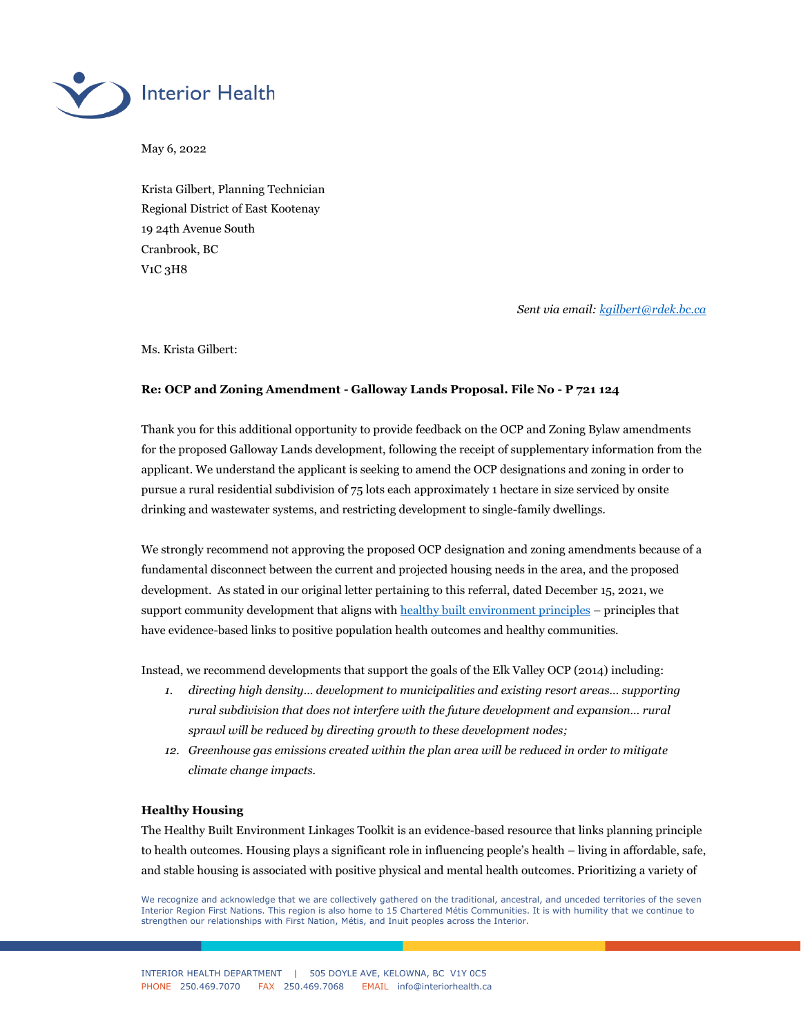

May 6, 2022

Krista Gilbert, Planning Technician Regional District of East Kootenay 19 24th Avenue South Cranbrook, BC V1C 3H8

*Sent via email: [kgilbert@rdek.bc.ca](mailto:kgilbert@rdek.bc.ca)*

Ms. Krista Gilbert:

## **Re: OCP and Zoning Amendment - Galloway Lands Proposal. File No - P 721 124**

Thank you for this additional opportunity to provide feedback on the OCP and Zoning Bylaw amendments for the proposed Galloway Lands development, following the receipt of supplementary information from the applicant. We understand the applicant is seeking to amend the OCP designations and zoning in order to pursue a rural residential subdivision of 75 lots each approximately 1 hectare in size serviced by onsite drinking and wastewater systems, and restricting development to single-family dwellings.

We strongly recommend not approving the proposed OCP designation and zoning amendments because of a fundamental disconnect between the current and projected housing needs in the area, and the proposed development. As stated in our original letter pertaining to this referral, dated December 15, 2021, we support community development that aligns with [healthy built environment principles](http://www.bccdc.ca/pop-public-health/Documents/HBE_linkages_toolkit_2018.pdf) – principles that have evidence-based links to positive population health outcomes and healthy communities.

Instead, we recommend developments that support the goals of the Elk Valley OCP (2014) including:

- *1. directing high density… development to municipalities and existing resort areas… supporting rural subdivision that does not interfere with the future development and expansion… rural sprawl will be reduced by directing growth to these development nodes;*
- *12. Greenhouse gas emissions created within the plan area will be reduced in order to mitigate climate change impacts.*

## **Healthy Housing**

The Healthy Built Environment Linkages Toolkit is an evidence-based resource that links planning principle to health outcomes. Housing plays a significant role in influencing people's health – living in affordable, safe, and stable housing is associated with positive physical and mental health outcomes. Prioritizing a variety of

We recognize and acknowledge that we are collectively gathered on the traditional, ancestral, and unceded territories of the seven Interior Region First Nations. This region is also home to 15 Chartered Métis Communities. It is with humility that we continue to strengthen our relationships with First Nation, Métis, and Inuit peoples across the Interior.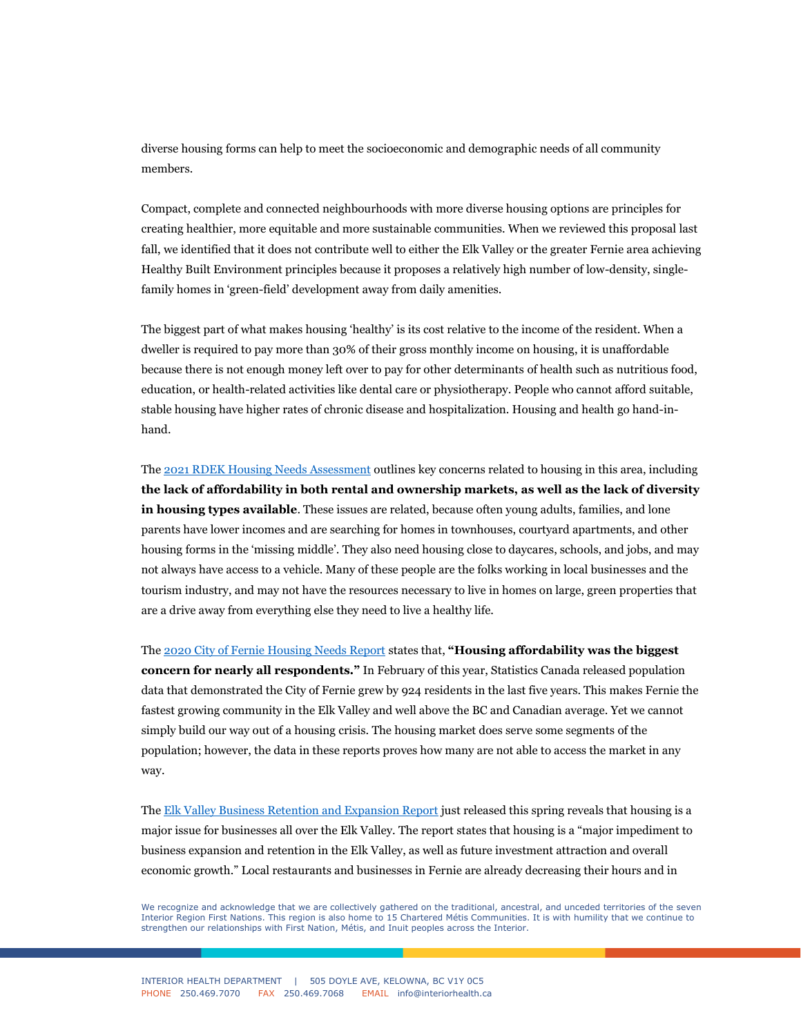diverse housing forms can help to meet the socioeconomic and demographic needs of all community members.

Compact, complete and connected neighbourhoods with more diverse housing options are principles for creating healthier, more equitable and more sustainable communities. When we reviewed this proposal last fall, we identified that it does not contribute well to either the Elk Valley or the greater Fernie area achieving Healthy Built Environment principles because it proposes a relatively high number of low-density, singlefamily homes in 'green-field' development away from daily amenities.

The biggest part of what makes housing 'healthy' is its cost relative to the income of the resident. When a dweller is required to pay more than 30% of their gross monthly income on housing, it is unaffordable because there is not enough money left over to pay for other determinants of health such as nutritious food, education, or health-related activities like dental care or physiotherapy. People who cannot afford suitable, stable housing have higher rates of chronic disease and hospitalization. Housing and health go hand-inhand.

Th[e 2021 RDEK Housing Needs Assessment](https://engage.rdek.bc.ca/housing) outlines key concerns related to housing in this area, including **the lack of affordability in both rental and ownership markets, as well as the lack of diversity in housing types available**. These issues are related, because often young adults, families, and lone parents have lower incomes and are searching for homes in townhouses, courtyard apartments, and other housing forms in the 'missing middle'. They also need housing close to daycares, schools, and jobs, and may not always have access to a vehicle. Many of these people are the folks working in local businesses and the tourism industry, and may not have the resources necessary to live in homes on large, green properties that are a drive away from everything else they need to live a healthy life.

Th[e 2020 City of Fernie Housing Needs Report](https://fernie.civicweb.net/document/122420/) states that, **"Housing affordability was the biggest concern for nearly all respondents."** In February of this year, Statistics Canada released population data that demonstrated the City of Fernie grew by 924 residents in the last five years. This makes Fernie the fastest growing community in the Elk Valley and well above the BC and Canadian average. Yet we cannot simply build our way out of a housing crisis. The housing market does serve some segments of the population; however, the data in these reports proves how many are not able to access the market in any way.

Th[e Elk Valley Business Retention and Expansion Report](https://theelkvalley.ca/wp-content/uploads/2022/04/Elk-Valley-BRE-Report-2021.pdf) just released this spring reveals that housing is a major issue for businesses all over the Elk Valley. The report states that housing is a "major impediment to business expansion and retention in the Elk Valley, as well as future investment attraction and overall economic growth." Local restaurants and businesses in Fernie are already decreasing their hours and in

We recognize and acknowledge that we are collectively gathered on the traditional, ancestral, and unceded territories of the seven Interior Region First Nations. This region is also home to 15 Chartered Métis Communities. It is with humility that we continue to strengthen our relationships with First Nation, Métis, and Inuit peoples across the Interior.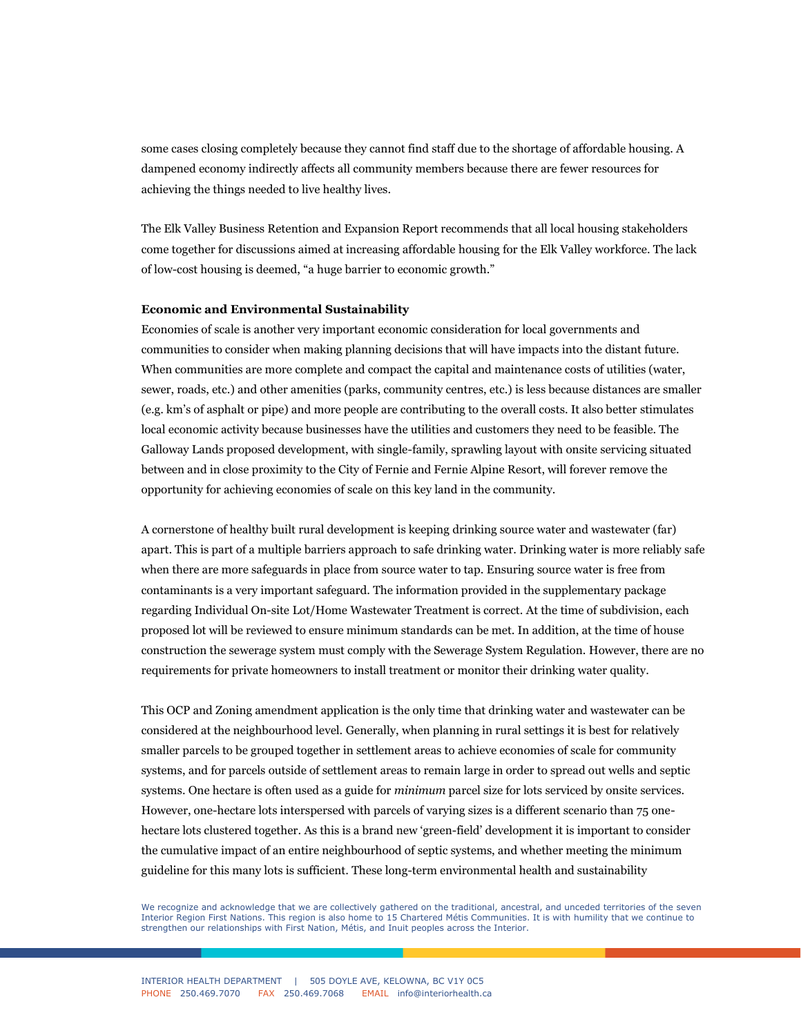some cases closing completely because they cannot find staff due to the shortage of affordable housing. A dampened economy indirectly affects all community members because there are fewer resources for achieving the things needed to live healthy lives.

The Elk Valley Business Retention and Expansion Report recommends that all local housing stakeholders come together for discussions aimed at increasing affordable housing for the Elk Valley workforce. The lack of low-cost housing is deemed, "a huge barrier to economic growth."

## **Economic and Environmental Sustainability**

Economies of scale is another very important economic consideration for local governments and communities to consider when making planning decisions that will have impacts into the distant future. When communities are more complete and compact the capital and maintenance costs of utilities (water, sewer, roads, etc.) and other amenities (parks, community centres, etc.) is less because distances are smaller (e.g. km's of asphalt or pipe) and more people are contributing to the overall costs. It also better stimulates local economic activity because businesses have the utilities and customers they need to be feasible. The Galloway Lands proposed development, with single-family, sprawling layout with onsite servicing situated between and in close proximity to the City of Fernie and Fernie Alpine Resort, will forever remove the opportunity for achieving economies of scale on this key land in the community.

A cornerstone of healthy built rural development is keeping drinking source water and wastewater (far) apart. This is part of a multiple barriers approach to safe drinking water. Drinking water is more reliably safe when there are more safeguards in place from source water to tap. Ensuring source water is free from contaminants is a very important safeguard. The information provided in the supplementary package regarding Individual On-site Lot/Home Wastewater Treatment is correct. At the time of subdivision, each proposed lot will be reviewed to ensure minimum standards can be met. In addition, at the time of house construction the sewerage system must comply with the Sewerage System Regulation. However, there are no requirements for private homeowners to install treatment or monitor their drinking water quality.

This OCP and Zoning amendment application is the only time that drinking water and wastewater can be considered at the neighbourhood level. Generally, when planning in rural settings it is best for relatively smaller parcels to be grouped together in settlement areas to achieve economies of scale for community systems, and for parcels outside of settlement areas to remain large in order to spread out wells and septic systems. One hectare is often used as a guide for *minimum* parcel size for lots serviced by onsite services. However, one-hectare lots interspersed with parcels of varying sizes is a different scenario than 75 onehectare lots clustered together. As this is a brand new 'green-field' development it is important to consider the cumulative impact of an entire neighbourhood of septic systems, and whether meeting the minimum guideline for this many lots is sufficient. These long-term environmental health and sustainability

We recognize and acknowledge that we are collectively gathered on the traditional, ancestral, and unceded territories of the seven Interior Region First Nations. This region is also home to 15 Chartered Métis Communities. It is with humility that we continue to strengthen our relationships with First Nation, Métis, and Inuit peoples across the Interior.